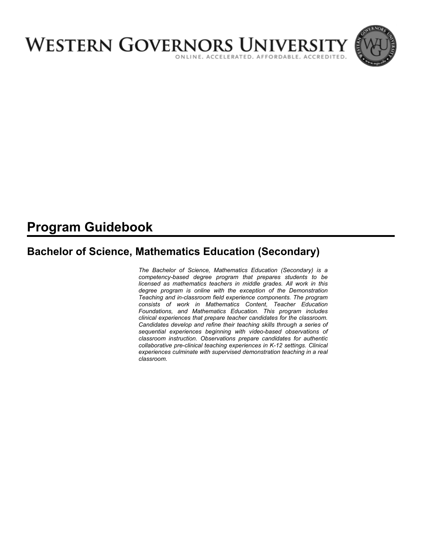

# **Program Guidebook**

# **Bachelor of Science, Mathematics Education (Secondary)**

*The Bachelor of Science, Mathematics Education (Secondary) is a competency-based degree program that prepares students to be licensed as mathematics teachers in middle grades. All work in this degree program is online with the exception of the Demonstration Teaching and in-classroom field experience components. The program consists of work in Mathematics Content, Teacher Education Foundations, and Mathematics Education. This program includes clinical experiences that prepare teacher candidates for the classroom. Candidates develop and refine their teaching skills through a series of sequential experiences beginning with video-based observations of classroom instruction. Observations prepare candidates for authentic collaborative pre-clinical teaching experiences in K-12 settings. Clinical experiences culminate with supervised demonstration teaching in a real classroom.*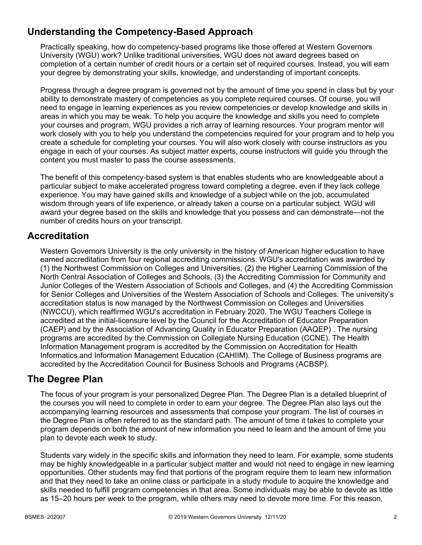# **Understanding the Competency-Based Approach**

Practically speaking, how do competency-based programs like those offered at Western Governors University (WGU) work? Unlike traditional universities, WGU does not award degrees based on completion of a certain number of credit hours or a certain set of required courses. Instead, you will earn your degree by demonstrating your skills, knowledge, and understanding of important concepts.

Progress through a degree program is governed not by the amount of time you spend in class but by your ability to demonstrate mastery of competencies as you complete required courses. Of course, you will need to engage in learning experiences as you review competencies or develop knowledge and skills in areas in which you may be weak. To help you acquire the knowledge and skills you need to complete your courses and program, WGU provides a rich array of learning resources. Your program mentor will work closely with you to help you understand the competencies required for your program and to help you create a schedule for completing your courses. You will also work closely with course instructors as you engage in each of your courses. As subject matter experts, course instructors will guide you through the content you must master to pass the course assessments.

The benefit of this competency-based system is that enables students who are knowledgeable about a particular subject to make accelerated progress toward completing a degree, even if they lack college experience. You may have gained skills and knowledge of a subject while on the job, accumulated wisdom through years of life experience, or already taken a course on a particular subject. WGU will award your degree based on the skills and knowledge that you possess and can demonstrate—not the number of credits hours on your transcript.

## **Accreditation**

Western Governors University is the only university in the history of American higher education to have earned accreditation from four regional accrediting commissions. WGU's accreditation was awarded by (1) the Northwest Commission on Colleges and Universities, (2) the Higher Learning Commission of the North Central Association of Colleges and Schools, (3) the Accrediting Commission for Community and Junior Colleges of the Western Association of Schools and Colleges, and (4) the Accrediting Commission for Senior Colleges and Universities of the Western Association of Schools and Colleges. The university's accreditation status is now managed by the Northwest Commission on Colleges and Universities (NWCCU), which reaffirmed WGU's accreditation in February 2020. The WGU Teachers College is accredited at the initial-licensure level by the Council for the Accreditation of Educator Preparation (CAEP) and by the Association of Advancing Quality in Educator Preparation (AAQEP) . The nursing programs are accredited by the Commission on Collegiate Nursing Education (CCNE). The Health Information Management program is accredited by the Commission on Accreditation for Health Informatics and Information Management Education (CAHIIM). The College of Business programs are accredited by the Accreditation Council for Business Schools and Programs (ACBSP).

## **The Degree Plan**

The focus of your program is your personalized Degree Plan. The Degree Plan is a detailed blueprint of the courses you will need to complete in order to earn your degree. The Degree Plan also lays out the accompanying learning resources and assessments that compose your program. The list of courses in the Degree Plan is often referred to as the standard path. The amount of time it takes to complete your program depends on both the amount of new information you need to learn and the amount of time you plan to devote each week to study.

Students vary widely in the specific skills and information they need to learn. For example, some students may be highly knowledgeable in a particular subject matter and would not need to engage in new learning opportunities. Other students may find that portions of the program require them to learn new information and that they need to take an online class or participate in a study module to acquire the knowledge and skills needed to fulfill program competencies in that area. Some individuals may be able to devote as little as 15–20 hours per week to the program, while others may need to devote more time. For this reason,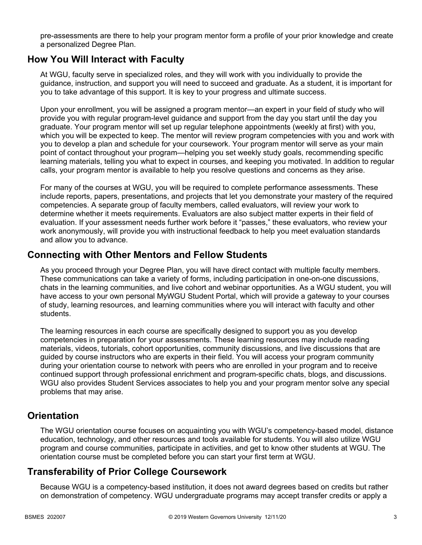pre-assessments are there to help your program mentor form a profile of your prior knowledge and create a personalized Degree Plan.

## **How You Will Interact with Faculty**

At WGU, faculty serve in specialized roles, and they will work with you individually to provide the guidance, instruction, and support you will need to succeed and graduate. As a student, it is important for you to take advantage of this support. It is key to your progress and ultimate success.

Upon your enrollment, you will be assigned a program mentor—an expert in your field of study who will provide you with regular program-level guidance and support from the day you start until the day you graduate. Your program mentor will set up regular telephone appointments (weekly at first) with you, which you will be expected to keep. The mentor will review program competencies with you and work with you to develop a plan and schedule for your coursework. Your program mentor will serve as your main point of contact throughout your program—helping you set weekly study goals, recommending specific learning materials, telling you what to expect in courses, and keeping you motivated. In addition to regular calls, your program mentor is available to help you resolve questions and concerns as they arise.

For many of the courses at WGU, you will be required to complete performance assessments. These include reports, papers, presentations, and projects that let you demonstrate your mastery of the required competencies. A separate group of faculty members, called evaluators, will review your work to determine whether it meets requirements. Evaluators are also subject matter experts in their field of evaluation. If your assessment needs further work before it "passes," these evaluators, who review your work anonymously, will provide you with instructional feedback to help you meet evaluation standards and allow you to advance.

## **Connecting with Other Mentors and Fellow Students**

As you proceed through your Degree Plan, you will have direct contact with multiple faculty members. These communications can take a variety of forms, including participation in one-on-one discussions, chats in the learning communities, and live cohort and webinar opportunities. As a WGU student, you will have access to your own personal MyWGU Student Portal, which will provide a gateway to your courses of study, learning resources, and learning communities where you will interact with faculty and other students.

The learning resources in each course are specifically designed to support you as you develop competencies in preparation for your assessments. These learning resources may include reading materials, videos, tutorials, cohort opportunities, community discussions, and live discussions that are guided by course instructors who are experts in their field. You will access your program community during your orientation course to network with peers who are enrolled in your program and to receive continued support through professional enrichment and program-specific chats, blogs, and discussions. WGU also provides Student Services associates to help you and your program mentor solve any special problems that may arise.

## **Orientation**

The WGU orientation course focuses on acquainting you with WGU's competency-based model, distance education, technology, and other resources and tools available for students. You will also utilize WGU program and course communities, participate in activities, and get to know other students at WGU. The orientation course must be completed before you can start your first term at WGU.

# **Transferability of Prior College Coursework**

Because WGU is a competency-based institution, it does not award degrees based on credits but rather on demonstration of competency. WGU undergraduate programs may accept transfer credits or apply a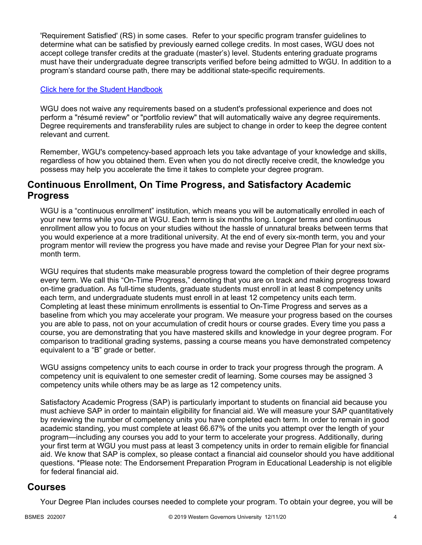'Requirement Satisfied' (RS) in some cases. Refer to your specific program transfer guidelines to determine what can be satisfied by previously earned college credits. In most cases, WGU does not accept college transfer credits at the graduate (master's) level. Students entering graduate programs must have their undergraduate degree transcripts verified before being admitted to WGU. In addition to a program's standard course path, there may be additional state-specific requirements.

#### [Click here for the Student Handbook](http://cm.wgu.edu/)

WGU does not waive any requirements based on a student's professional experience and does not perform a "résumé review" or "portfolio review" that will automatically waive any degree requirements. Degree requirements and transferability rules are subject to change in order to keep the degree content relevant and current.

Remember, WGU's competency-based approach lets you take advantage of your knowledge and skills, regardless of how you obtained them. Even when you do not directly receive credit, the knowledge you possess may help you accelerate the time it takes to complete your degree program.

## **Continuous Enrollment, On Time Progress, and Satisfactory Academic Progress**

WGU is a "continuous enrollment" institution, which means you will be automatically enrolled in each of your new terms while you are at WGU. Each term is six months long. Longer terms and continuous enrollment allow you to focus on your studies without the hassle of unnatural breaks between terms that you would experience at a more traditional university. At the end of every six-month term, you and your program mentor will review the progress you have made and revise your Degree Plan for your next sixmonth term.

WGU requires that students make measurable progress toward the completion of their degree programs every term. We call this "On-Time Progress," denoting that you are on track and making progress toward on-time graduation. As full-time students, graduate students must enroll in at least 8 competency units each term, and undergraduate students must enroll in at least 12 competency units each term. Completing at least these minimum enrollments is essential to On-Time Progress and serves as a baseline from which you may accelerate your program. We measure your progress based on the courses you are able to pass, not on your accumulation of credit hours or course grades. Every time you pass a course, you are demonstrating that you have mastered skills and knowledge in your degree program. For comparison to traditional grading systems, passing a course means you have demonstrated competency equivalent to a "B" grade or better.

WGU assigns competency units to each course in order to track your progress through the program. A competency unit is equivalent to one semester credit of learning. Some courses may be assigned 3 competency units while others may be as large as 12 competency units.

Satisfactory Academic Progress (SAP) is particularly important to students on financial aid because you must achieve SAP in order to maintain eligibility for financial aid. We will measure your SAP quantitatively by reviewing the number of competency units you have completed each term. In order to remain in good academic standing, you must complete at least 66.67% of the units you attempt over the length of your program—including any courses you add to your term to accelerate your progress. Additionally, during your first term at WGU you must pass at least 3 competency units in order to remain eligible for financial aid. We know that SAP is complex, so please contact a financial aid counselor should you have additional questions. \*Please note: The Endorsement Preparation Program in Educational Leadership is not eligible for federal financial aid.

### **Courses**

Your Degree Plan includes courses needed to complete your program. To obtain your degree, you will be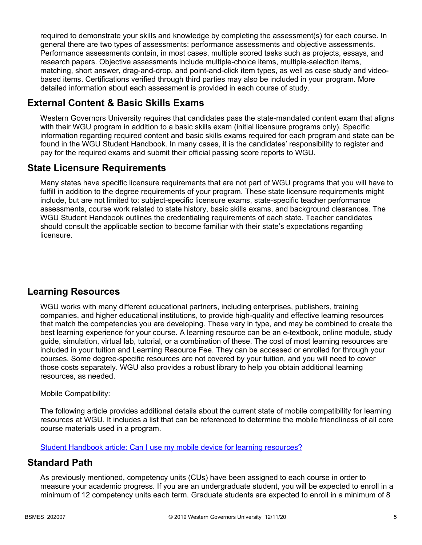required to demonstrate your skills and knowledge by completing the assessment(s) for each course. In general there are two types of assessments: performance assessments and objective assessments. Performance assessments contain, in most cases, multiple scored tasks such as projects, essays, and research papers. Objective assessments include multiple-choice items, multiple-selection items, matching, short answer, drag-and-drop, and point-and-click item types, as well as case study and videobased items. Certifications verified through third parties may also be included in your program. More detailed information about each assessment is provided in each course of study.

# **External Content & Basic Skills Exams**

Western Governors University requires that candidates pass the state-mandated content exam that aligns with their WGU program in addition to a basic skills exam (initial licensure programs only). Specific information regarding required content and basic skills exams required for each program and state can be found in the WGU Student Handbook. In many cases, it is the candidates' responsibility to register and pay for the required exams and submit their official passing score reports to WGU.

## **State Licensure Requirements**

Many states have specific licensure requirements that are not part of WGU programs that you will have to fulfill in addition to the degree requirements of your program. These state licensure requirements might include, but are not limited to: subject-specific licensure exams, state-specific teacher performance assessments, course work related to state history, basic skills exams, and background clearances. The WGU Student Handbook outlines the credentialing requirements of each state. Teacher candidates should consult the applicable section to become familiar with their state's expectations regarding licensure.

# **Learning Resources**

WGU works with many different educational partners, including enterprises, publishers, training companies, and higher educational institutions, to provide high-quality and effective learning resources that match the competencies you are developing. These vary in type, and may be combined to create the best learning experience for your course. A learning resource can be an e-textbook, online module, study guide, simulation, virtual lab, tutorial, or a combination of these. The cost of most learning resources are included in your tuition and Learning Resource Fee. They can be accessed or enrolled for through your courses. Some degree-specific resources are not covered by your tuition, and you will need to cover those costs separately. WGU also provides a robust library to help you obtain additional learning resources, as needed.

### Mobile Compatibility:

The following article provides additional details about the current state of mobile compatibility for learning resources at WGU. It includes a list that can be referenced to determine the mobile friendliness of all core course materials used in a program.

[Student Handbook article: Can I use my mobile device for learning resources?](https://cm.wgu.edu/t5/Frequently-Asked-Questions/Can-I-use-my-mobile-device-for-learning-resources/ta-p/396)

## **Standard Path**

As previously mentioned, competency units (CUs) have been assigned to each course in order to measure your academic progress. If you are an undergraduate student, you will be expected to enroll in a minimum of 12 competency units each term. Graduate students are expected to enroll in a minimum of 8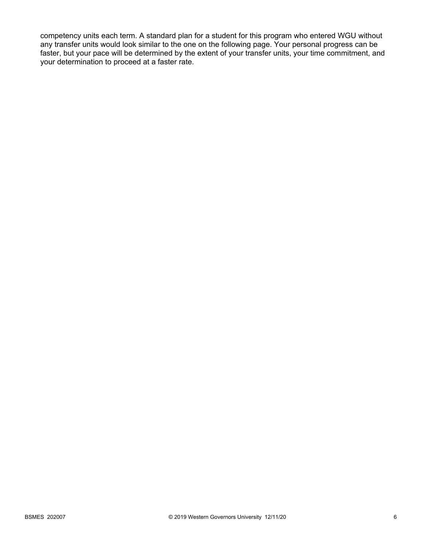competency units each term. A standard plan for a student for this program who entered WGU without any transfer units would look similar to the one on the following page. Your personal progress can be faster, but your pace will be determined by the extent of your transfer units, your time commitment, and your determination to proceed at a faster rate.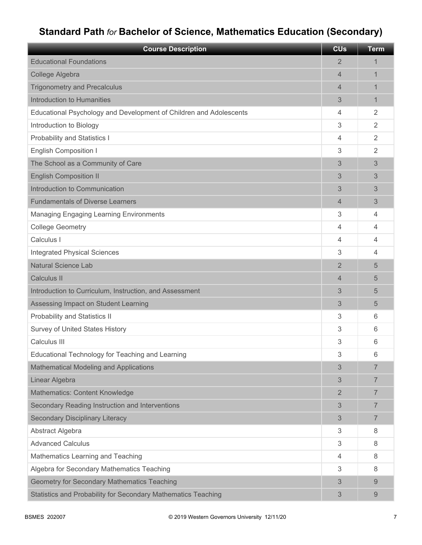# **Standard Path** *for* **Bachelor of Science, Mathematics Education (Secondary)**

| <b>Course Description</b>                                          | <b>CU<sub>s</sub></b> | <b>Term</b>    |
|--------------------------------------------------------------------|-----------------------|----------------|
| <b>Educational Foundations</b>                                     | 2                     | 1              |
| College Algebra                                                    | 4                     | 1              |
| <b>Trigonometry and Precalculus</b>                                | 4                     | 1              |
| Introduction to Humanities                                         | 3                     | 1              |
| Educational Psychology and Development of Children and Adolescents | 4                     | $\overline{2}$ |
| Introduction to Biology                                            | 3                     | $\overline{2}$ |
| <b>Probability and Statistics I</b>                                | 4                     | $\overline{2}$ |
| <b>English Composition I</b>                                       | 3                     | 2              |
| The School as a Community of Care                                  | 3                     | 3              |
| <b>English Composition II</b>                                      | 3                     | 3              |
| Introduction to Communication                                      | 3                     | 3              |
| <b>Fundamentals of Diverse Learners</b>                            | 4                     | 3              |
| <b>Managing Engaging Learning Environments</b>                     | 3                     | 4              |
| <b>College Geometry</b>                                            | 4                     | 4              |
| Calculus I                                                         | 4                     | 4              |
| <b>Integrated Physical Sciences</b>                                | 3                     | 4              |
| <b>Natural Science Lab</b>                                         | $\overline{2}$        | 5              |
| <b>Calculus II</b>                                                 | 4                     | 5              |
| Introduction to Curriculum, Instruction, and Assessment            | 3                     | 5              |
| Assessing Impact on Student Learning                               | 3                     | 5              |
| Probability and Statistics II                                      | 3                     | 6              |
| <b>Survey of United States History</b>                             | 3                     | 6              |
| Calculus III                                                       | 3                     | 6              |
| Educational Technology for Teaching and Learning                   | 3                     | 6              |
| Mathematical Modeling and Applications                             | 3                     | 7              |
| Linear Algebra                                                     | 3                     | $\overline{7}$ |
| Mathematics: Content Knowledge                                     | $\overline{2}$        | $\overline{7}$ |
| Secondary Reading Instruction and Interventions                    | 3                     | $\overline{7}$ |
| <b>Secondary Disciplinary Literacy</b>                             | 3                     | 7              |
| Abstract Algebra                                                   | 3                     | 8              |
| <b>Advanced Calculus</b>                                           | 3                     | 8              |
| Mathematics Learning and Teaching                                  | 4                     | 8              |
| Algebra for Secondary Mathematics Teaching                         | 3                     | 8              |
| <b>Geometry for Secondary Mathematics Teaching</b>                 | 3                     | 9              |
| Statistics and Probability for Secondary Mathematics Teaching      | 3                     | 9              |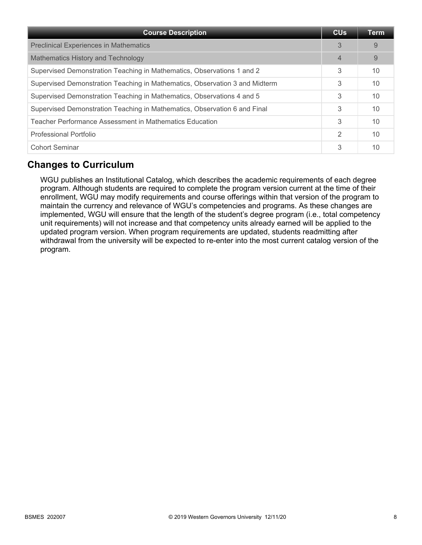| <b>Course Description</b>                                                   | <b>CU<sub>s</sub></b> | <b>Term</b> |
|-----------------------------------------------------------------------------|-----------------------|-------------|
| <b>Preclinical Experiences in Mathematics</b>                               | 3                     | 9           |
| Mathematics History and Technology                                          | 4                     | 9           |
| Supervised Demonstration Teaching in Mathematics, Observations 1 and 2      | 3                     | 10          |
| Supervised Demonstration Teaching in Mathematics, Observation 3 and Midterm | 3                     | 10          |
| Supervised Demonstration Teaching in Mathematics, Observations 4 and 5      | 3                     | 10          |
| Supervised Demonstration Teaching in Mathematics, Observation 6 and Final   | 3                     | 10          |
| Teacher Performance Assessment in Mathematics Education                     | 3                     | 10          |
| <b>Professional Portfolio</b>                                               | 2                     | 10          |
| <b>Cohort Seminar</b>                                                       | 3                     | 10          |

# **Changes to Curriculum**

WGU publishes an Institutional Catalog, which describes the academic requirements of each degree program. Although students are required to complete the program version current at the time of their enrollment, WGU may modify requirements and course offerings within that version of the program to maintain the currency and relevance of WGU's competencies and programs. As these changes are implemented, WGU will ensure that the length of the student's degree program (i.e., total competency unit requirements) will not increase and that competency units already earned will be applied to the updated program version. When program requirements are updated, students readmitting after withdrawal from the university will be expected to re-enter into the most current catalog version of the program.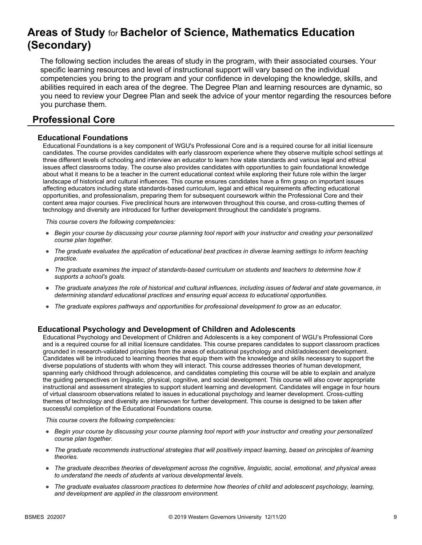# **Areas of Study** for **Bachelor of Science, Mathematics Education (Secondary)**

The following section includes the areas of study in the program, with their associated courses. Your specific learning resources and level of instructional support will vary based on the individual competencies you bring to the program and your confidence in developing the knowledge, skills, and abilities required in each area of the degree. The Degree Plan and learning resources are dynamic, so you need to review your Degree Plan and seek the advice of your mentor regarding the resources before you purchase them.

## **Professional Core**

#### **Educational Foundations**

Educational Foundations is a key component of WGU's Professional Core and is a required course for all initial licensure candidates. The course provides candidates with early classroom experience where they observe multiple school settings at three different levels of schooling and interview an educator to learn how state standards and various legal and ethical issues affect classrooms today. The course also provides candidates with opportunities to gain foundational knowledge about what it means to be a teacher in the current educational context while exploring their future role within the larger landscape of historical and cultural influences. This course ensures candidates have a firm grasp on important issues affecting educators including state standards-based curriculum, legal and ethical requirements affecting educational opportunities, and professionalism, preparing them for subsequent coursework within the Professional Core and their content area major courses. Five preclinical hours are interwoven throughout this course, and cross-cutting themes of technology and diversity are introduced for further development throughout the candidate's programs.

*This course covers the following competencies:*

- *Begin your course by discussing your course planning tool report with your instructor and creating your personalized course plan together.*
- *The graduate evaluates the application of educational best practices in diverse learning settings to inform teaching practice.*
- *The graduate examines the impact of standards-based curriculum on students and teachers to determine how it supports a school's goals.*
- *The graduate analyzes the role of historical and cultural influences, including issues of federal and state governance, in determining standard educational practices and ensuring equal access to educational opportunities.*
- *The graduate explores pathways and opportunities for professional development to grow as an educator.*

#### **Educational Psychology and Development of Children and Adolescents**

Educational Psychology and Development of Children and Adolescents is a key component of WGU's Professional Core and is a required course for all initial licensure candidates. This course prepares candidates to support classroom practices grounded in research-validated principles from the areas of educational psychology and child/adolescent development. Candidates will be introduced to learning theories that equip them with the knowledge and skills necessary to support the diverse populations of students with whom they will interact. This course addresses theories of human development, spanning early childhood through adolescence, and candidates completing this course will be able to explain and analyze the guiding perspectives on linguistic, physical, cognitive, and social development. This course will also cover appropriate instructional and assessment strategies to support student learning and development. Candidates will engage in four hours of virtual classroom observations related to issues in educational psychology and learner development. Cross-cutting themes of technology and diversity are interwoven for further development. This course is designed to be taken after successful completion of the Educational Foundations course.

- *Begin your course by discussing your course planning tool report with your instructor and creating your personalized course plan together.*
- *The graduate recommends instructional strategies that will positively impact learning, based on principles of learning theories.*
- *The graduate describes theories of development across the cognitive, linguistic, social, emotional, and physical areas to understand the needs of students at various developmental levels.*
- *The graduate evaluates classroom practices to determine how theories of child and adolescent psychology, learning, and development are applied in the classroom environment.*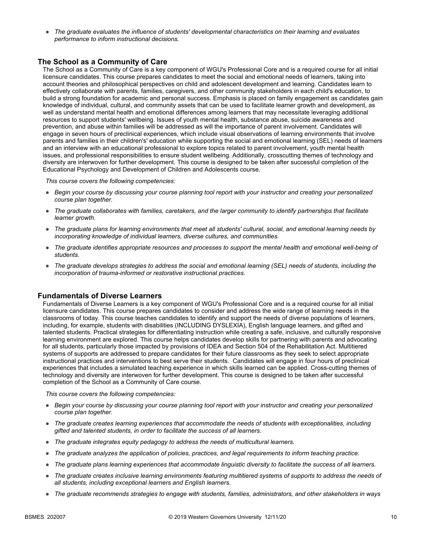● *The graduate evaluates the influence of students' developmental characteristics on their learning and evaluates performance to inform instructional decisions.*

#### **The School as a Community of Care**

The School as a Community of Care is a key component of WGU's Professional Core and is a required course for all initial licensure candidates. This course prepares candidates to meet the social and emotional needs of learners, taking into account theories and philosophical perspectives on child and adolescent development and learning. Candidates learn to effectively collaborate with parents, families, caregivers, and other community stakeholders in each child's education, to build a strong foundation for academic and personal success. Emphasis is placed on family engagement as candidates gain knowledge of individual, cultural, and community assets that can be used to facilitate learner growth and development, as well as understand mental health and emotional differences among learners that may necessitate leveraging additional resources to support students' wellbeing. Issues of youth mental health, substance abuse, suicide awareness and prevention, and abuse within families will be addressed as will the importance of parent involvement. Candidates will engage in seven hours of preclinical experiences, which include visual observations of learning environments that involve parents and families in their children's' education while supporting the social and emotional learning (SEL) needs of learners and an interview with an educational professional to explore topics related to parent involvement, youth mental health issues, and professional responsibilities to ensure student wellbeing. Additionally, crosscutting themes of technology and diversity are interwoven for further development. This course is designed to be taken after successful completion of the Educational Psychology and Development of Children and Adolescents course.

*This course covers the following competencies:*

- *Begin your course by discussing your course planning tool report with your instructor and creating your personalized course plan together.*
- *The graduate collaborates with families, caretakers, and the larger community to identify partnerships that facilitate learner growth.*
- *The graduate plans for learning environments that meet all students' cultural, social, and emotional learning needs by incorporating knowledge of individual learners, diverse cultures, and communities.*
- *The graduate identifies appropriate resources and processes to support the mental health and emotional well-being of students.*
- *The graduate develops strategies to address the social and emotional learning (SEL) needs of students, including the incorporation of trauma-informed or restorative instructional practices.*

#### **Fundamentals of Diverse Learners**

Fundamentals of Diverse Learners is a key component of WGU's Professional Core and is a required course for all initial licensure candidates. This course prepares candidates to consider and address the wide range of learning needs in the classrooms of today. This course teaches candidates to identify and support the needs of diverse populations of learners, including, for example, students with disabilities (INCLUDING DYSLEXIA), English language learners, and gifted and talented students. Practical strategies for differentiating instruction while creating a safe, inclusive, and culturally responsive learning environment are explored. This course helps candidates develop skills for partnering with parents and advocating for all students, particularly those impacted by provisions of IDEA and Section 504 of the Rehabilitation Act. Multitiered systems of supports are addressed to prepare candidates for their future classrooms as they seek to select appropriate instructional practices and interventions to best serve their students. Candidates will engage in four hours of preclinical experiences that includes a simulated teaching experience in which skills learned can be applied. Cross-cutting themes of technology and diversity are interwoven for further development. This course is designed to be taken after successful completion of the School as a Community of Care course.

- *Begin your course by discussing your course planning tool report with your instructor and creating your personalized course plan together.*
- *The graduate creates learning experiences that accommodate the needs of students with exceptionalities, including gifted and talented students, in order to facilitate the success of all learners.*
- *The graduate integrates equity pedagogy to address the needs of multicultural learners.*
- *The graduate analyzes the application of policies, practices, and legal requirements to inform teaching practice.*
- *The graduate plans learning experiences that accommodate linguistic diversity to facilitate the success of all learners.*
- *The graduate creates inclusive learning environments featuring multitiered systems of supports to address the needs of all students, including exceptional learners and English learners.*
- *The graduate recommends strategies to engage with students, families, administrators, and other stakeholders in ways*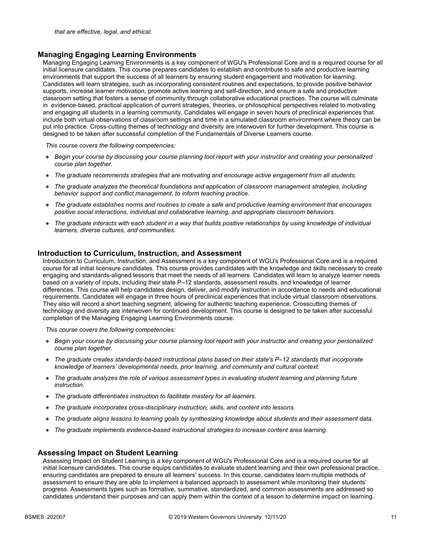#### **Managing Engaging Learning Environments**

Managing Engaging Learning Environments is a key component of WGU's Professional Core and is a required course for all initial licensure candidates. This course prepares candidates to establish and contribute to safe and productive learning environments that support the success of all learners by ensuring student engagement and motivation for learning. Candidates will learn strategies, such as incorporating consistent routines and expectations, to provide positive behavior supports, increase learner motivation, promote active learning and self-direction, and ensure a safe and productive classroom setting that fosters a sense of community through collaborative educational practices. The course will culminate in evidence-based, practical application of current strategies, theories, or philosophical perspectives related to motivating and engaging all students in a learning community. Candidates will engage in seven hours of preclinical experiences that include both virtual observations of classroom settings and time in a simulated classroom environment where theory can be put into practice. Cross-cutting themes of technology and diversity are interwoven for further development. This course is designed to be taken after successful completion of the Fundamentals of Diverse Learners course.

*This course covers the following competencies:*

- *Begin your course by discussing your course planning tool report with your instructor and creating your personalized course plan together.*
- *The graduate recommends strategies that are motivating and encourage active engagement from all students.*
- *The graduate analyzes the theoretical foundations and application of classroom management strategies, including behavior support and conflict management, to inform teaching practice.*
- *The graduate establishes norms and routines to create a safe and productive learning environment that encourages positive social interactions, individual and collaborative learning, and appropriate classroom behaviors.*
- *The graduate interacts with each student in a way that builds positive relationships by using knowledge of individual learners, diverse cultures, and communities.*

#### **Introduction to Curriculum, Instruction, and Assessment**

Introduction to Curriculum, Instruction, and Assessment is a key component of WGU's Professional Core and is a required course for all initial licensure candidates. This course provides candidates with the knowledge and skills necessary to create engaging and standards-aligned lessons that meet the needs of all learners. Candidates will learn to analyze learner needs based on a variety of inputs, including their state P–12 standards, assessment results, and knowledge of learner differences. This course will help candidates design, deliver, and modify instruction in accordance to needs and educational requirements. Candidates will engage in three hours of preclinical experiences that include virtual classroom observations. They also will record a short teaching segment, allowing for authentic teaching experience. Crosscutting themes of technology and diversity are interwoven for continued development. This course is designed to be taken after successful completion of the Managing Engaging Learning Environments course.

*This course covers the following competencies:*

- *Begin your course by discussing your course planning tool report with your instructor and creating your personalized course plan together.*
- *The graduate creates standards-based instructional plans based on their state's P–12 standards that incorporate knowledge of learners' developmental needs, prior learning, and community and cultural context.*
- *The graduate analyzes the role of various assessment types in evaluating student learning and planning future instruction.*
- *The graduate differentiates instruction to facilitate mastery for all learners.*
- *The graduate incorporates cross-disciplinary instruction, skills, and content into lessons.*
- *The graduate aligns lessons to learning goals by synthesizing knowledge about students and their assessment data.*
- *The graduate implements evidence-based instructional strategies to increase content area learning.*

#### **Assessing Impact on Student Learning**

Assessing Impact on Student Learning is a key component of WGU's Professional Core and is a required course for all initial licensure candidates. This course equips candidates to evaluate student learning and their own professional practice, ensuring candidates are prepared to ensure all learners' success. In this course, candidates learn multiple methods of assessment to ensure they are able to implement a balanced approach to assessment while monitoring their students' progress. Assessments types such as formative, summative, standardized, and common assessments are addressed so candidates understand their purposes and can apply them within the context of a lesson to determine impact on learning.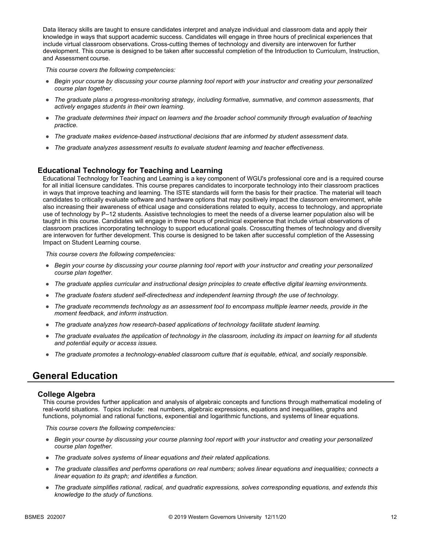Data literacy skills are taught to ensure candidates interpret and analyze individual and classroom data and apply their knowledge in ways that support academic success. Candidates will engage in three hours of preclinical experiences that include virtual classroom observations. Cross-cutting themes of technology and diversity are interwoven for further development. This course is designed to be taken after successful completion of the Introduction to Curriculum, Instruction, and Assessment course.

*This course covers the following competencies:*

- *Begin your course by discussing your course planning tool report with your instructor and creating your personalized course plan together.*
- *The graduate plans a progress-monitoring strategy, including formative, summative, and common assessments, that actively engages students in their own learning.*
- *The graduate determines their impact on learners and the broader school community through evaluation of teaching practice.*
- *The graduate makes evidence-based instructional decisions that are informed by student assessment data.*
- *The graduate analyzes assessment results to evaluate student learning and teacher effectiveness.*

#### **Educational Technology for Teaching and Learning**

Educational Technology for Teaching and Learning is a key component of WGU's professional core and is a required course for all initial licensure candidates. This course prepares candidates to incorporate technology into their classroom practices in ways that improve teaching and learning. The ISTE standards will form the basis for their practice. The material will teach candidates to critically evaluate software and hardware options that may positively impact the classroom environment, while also increasing their awareness of ethical usage and considerations related to equity, access to technology, and appropriate use of technology by P–12 students. Assistive technologies to meet the needs of a diverse learner population also will be taught in this course. Candidates will engage in three hours of preclinical experience that include virtual observations of classroom practices incorporating technology to support educational goals. Crosscutting themes of technology and diversity are interwoven for further development. This course is designed to be taken after successful completion of the Assessing Impact on Student Learning course.

*This course covers the following competencies:*

- *Begin your course by discussing your course planning tool report with your instructor and creating your personalized course plan together.*
- *The graduate applies curricular and instructional design principles to create effective digital learning environments.*
- *The graduate fosters student self-directedness and independent learning through the use of technology.*
- *The graduate recommends technology as an assessment tool to encompass multiple learner needs, provide in the moment feedback, and inform instruction.*
- *The graduate analyzes how research-based applications of technology facilitate student learning.*
- *The graduate evaluates the application of technology in the classroom, including its impact on learning for all students and potential equity or access issues.*
- *The graduate promotes a technology-enabled classroom culture that is equitable, ethical, and socially responsible.*

## **General Education**

#### **College Algebra**

This course provides further application and analysis of algebraic concepts and functions through mathematical modeling of real-world situations. Topics include: real numbers, algebraic expressions, equations and inequalities, graphs and functions, polynomial and rational functions, exponential and logarithmic functions, and systems of linear equations.

- *Begin your course by discussing your course planning tool report with your instructor and creating your personalized course plan together.*
- *The graduate solves systems of linear equations and their related applications.*
- *The graduate classifies and performs operations on real numbers; solves linear equations and inequalities; connects a linear equation to its graph; and identifies a function.*
- *The graduate simplifies rational, radical, and quadratic expressions, solves corresponding equations, and extends this knowledge to the study of functions.*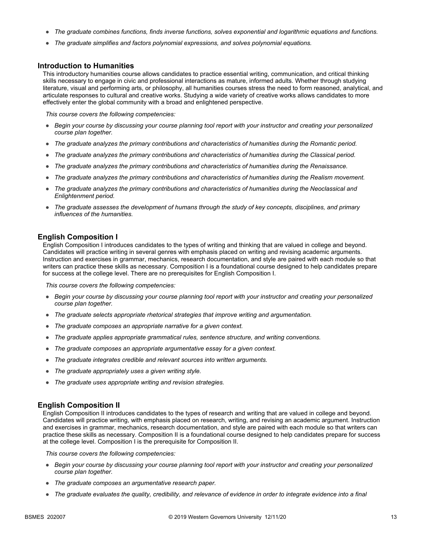- *The graduate combines functions, finds inverse functions, solves exponential and logarithmic equations and functions.*
- The graduate simplifies and factors polynomial expressions, and solves polynomial equations.

#### **Introduction to Humanities**

This introductory humanities course allows candidates to practice essential writing, communication, and critical thinking skills necessary to engage in civic and professional interactions as mature, informed adults. Whether through studying literature, visual and performing arts, or philosophy, all humanities courses stress the need to form reasoned, analytical, and articulate responses to cultural and creative works. Studying a wide variety of creative works allows candidates to more effectively enter the global community with a broad and enlightened perspective.

*This course covers the following competencies:*

- *Begin your course by discussing your course planning tool report with your instructor and creating your personalized course plan together.*
- *The graduate analyzes the primary contributions and characteristics of humanities during the Romantic period.*
- *The graduate analyzes the primary contributions and characteristics of humanities during the Classical period.*
- *The graduate analyzes the primary contributions and characteristics of humanities during the Renaissance.*
- *The graduate analyzes the primary contributions and characteristics of humanities during the Realism movement.*
- *The graduate analyzes the primary contributions and characteristics of humanities during the Neoclassical and Enlightenment period.*
- *The graduate assesses the development of humans through the study of key concepts, disciplines, and primary influences of the humanities.*

#### **English Composition I**

English Composition I introduces candidates to the types of writing and thinking that are valued in college and beyond. Candidates will practice writing in several genres with emphasis placed on writing and revising academic arguments. Instruction and exercises in grammar, mechanics, research documentation, and style are paired with each module so that writers can practice these skills as necessary. Composition I is a foundational course designed to help candidates prepare for success at the college level. There are no prerequisites for English Composition I.

*This course covers the following competencies:*

- *Begin your course by discussing your course planning tool report with your instructor and creating your personalized course plan together.*
- *The graduate selects appropriate rhetorical strategies that improve writing and argumentation.*
- *The graduate composes an appropriate narrative for a given context.*
- *The graduate applies appropriate grammatical rules, sentence structure, and writing conventions.*
- *The graduate composes an appropriate argumentative essay for a given context.*
- *The graduate integrates credible and relevant sources into written arguments.*
- *The graduate appropriately uses a given writing style.*
- *The graduate uses appropriate writing and revision strategies.*

#### **English Composition II**

English Composition II introduces candidates to the types of research and writing that are valued in college and beyond. Candidates will practice writing, with emphasis placed on research, writing, and revising an academic argument. Instruction and exercises in grammar, mechanics, research documentation, and style are paired with each module so that writers can practice these skills as necessary. Composition II is a foundational course designed to help candidates prepare for success at the college level. Composition I is the prerequisite for Composition II.

- *Begin your course by discussing your course planning tool report with your instructor and creating your personalized course plan together.*
- *The graduate composes an argumentative research paper.*
- *The graduate evaluates the quality, credibility, and relevance of evidence in order to integrate evidence into a final*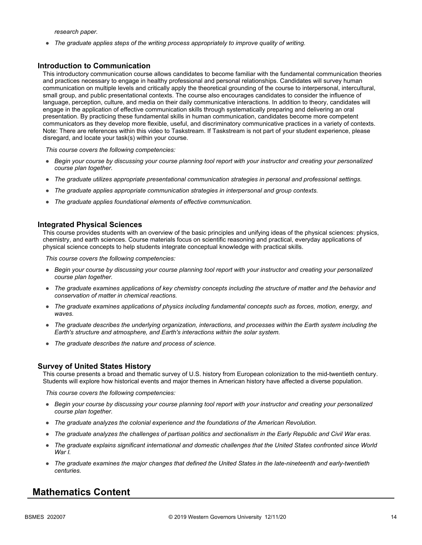*research paper.*

● *The graduate applies steps of the writing process appropriately to improve quality of writing.*

#### **Introduction to Communication**

This introductory communication course allows candidates to become familiar with the fundamental communication theories and practices necessary to engage in healthy professional and personal relationships. Candidates will survey human communication on multiple levels and critically apply the theoretical grounding of the course to interpersonal, intercultural, small group, and public presentational contexts. The course also encourages candidates to consider the influence of language, perception, culture, and media on their daily communicative interactions. In addition to theory, candidates will engage in the application of effective communication skills through systematically preparing and delivering an oral presentation. By practicing these fundamental skills in human communication, candidates become more competent communicators as they develop more flexible, useful, and discriminatory communicative practices in a variety of contexts. Note: There are references within this video to Taskstream. If Taskstream is not part of your student experience, please disregard, and locate your task(s) within your course.

*This course covers the following competencies:*

- *Begin your course by discussing your course planning tool report with your instructor and creating your personalized course plan together.*
- *The graduate utilizes appropriate presentational communication strategies in personal and professional settings.*
- *The graduate applies appropriate communication strategies in interpersonal and group contexts.*
- *The graduate applies foundational elements of effective communication.*

#### **Integrated Physical Sciences**

This course provides students with an overview of the basic principles and unifying ideas of the physical sciences: physics, chemistry, and earth sciences. Course materials focus on scientific reasoning and practical, everyday applications of physical science concepts to help students integrate conceptual knowledge with practical skills.

*This course covers the following competencies:*

- *Begin your course by discussing your course planning tool report with your instructor and creating your personalized course plan together.*
- *The graduate examines applications of key chemistry concepts including the structure of matter and the behavior and conservation of matter in chemical reactions.*
- *The graduate examines applications of physics including fundamental concepts such as forces, motion, energy, and waves.*
- *The graduate describes the underlying organization, interactions, and processes within the Earth system including the Earth's structure and atmosphere, and Earth's interactions within the solar system.*
- *The graduate describes the nature and process of science.*

#### **Survey of United States History**

This course presents a broad and thematic survey of U.S. history from European colonization to the mid-twentieth century. Students will explore how historical events and major themes in American history have affected a diverse population.

*This course covers the following competencies:*

- *Begin your course by discussing your course planning tool report with your instructor and creating your personalized course plan together.*
- *The graduate analyzes the colonial experience and the foundations of the American Revolution.*
- *The graduate analyzes the challenges of partisan politics and sectionalism in the Early Republic and Civil War eras.*
- *The graduate explains significant international and domestic challenges that the United States confronted since World War I.*
- *The graduate examines the major changes that defined the United States in the late-nineteenth and early-twentieth centuries.*

### **Mathematics Content**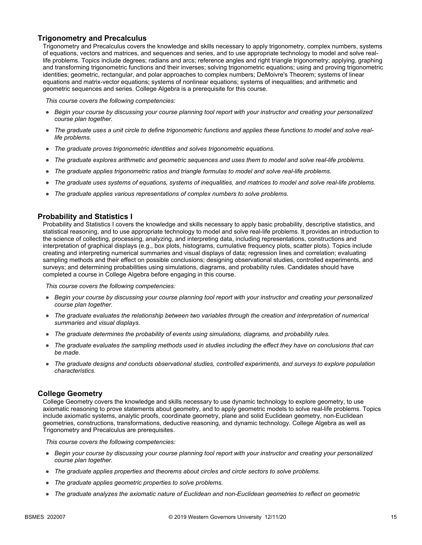#### **Trigonometry and Precalculus**

Trigonometry and Precalculus covers the knowledge and skills necessary to apply trigonometry, complex numbers, systems of equations, vectors and matrices, and sequences and series, and to use appropriate technology to model and solve reallife problems. Topics include degrees; radians and arcs; reference angles and right triangle trigonometry; applying, graphing and transforming trigonometric functions and their inverses; solving trigonometric equations; using and proving trigonometric identities; geometric, rectangular, and polar approaches to complex numbers; DeMoivre's Theorem; systems of linear equations and matrix-vector equations; systems of nonlinear equations; systems of inequalities; and arithmetic and geometric sequences and series. College Algebra is a prerequisite for this course.

*This course covers the following competencies:*

- *Begin your course by discussing your course planning tool report with your instructor and creating your personalized course plan together.*
- The graduate uses a unit circle to define trigonometric functions and applies these functions to model and solve real*life problems.*
- *The graduate proves trigonometric identities and solves trigonometric equations.*
- *The graduate explores arithmetic and geometric sequences and uses them to model and solve real-life problems.*
- *The graduate applies trigonometric ratios and triangle formulas to model and solve real-life problems.*
- *The graduate uses systems of equations, systems of inequalities, and matrices to model and solve real-life problems.*
- *The graduate applies various representations of complex numbers to solve problems.*

#### **Probability and Statistics I**

Probability and Statistics I covers the knowledge and skills necessary to apply basic probability, descriptive statistics, and statistical reasoning, and to use appropriate technology to model and solve real-life problems. It provides an introduction to the science of collecting, processing, analyzing, and interpreting data, including representations, constructions and interpretation of graphical displays (e.g., box plots, histograms, cumulative frequency plots, scatter plots). Topics include creating and interpreting numerical summaries and visual displays of data; regression lines and correlation; evaluating sampling methods and their effect on possible conclusions; designing observational studies, controlled experiments, and surveys; and determining probabilities using simulations, diagrams, and probability rules. Candidates should have completed a course in College Algebra before engaging in this course.

*This course covers the following competencies:*

- *Begin your course by discussing your course planning tool report with your instructor and creating your personalized course plan together.*
- *The graduate evaluates the relationship between two variables through the creation and interpretation of numerical summaries and visual displays.*
- *The graduate determines the probability of events using simulations, diagrams, and probability rules.*
- *The graduate evaluates the sampling methods used in studies including the effect they have on conclusions that can be made.*
- *The graduate designs and conducts observational studies, controlled experiments, and surveys to explore population characteristics.*

#### **College Geometry**

College Geometry covers the knowledge and skills necessary to use dynamic technology to explore geometry, to use axiomatic reasoning to prove statements about geometry, and to apply geometric models to solve real-life problems. Topics include axiomatic systems, analytic proofs, coordinate geometry, plane and solid Euclidean geometry, non-Euclidean geometries, constructions, transformations, deductive reasoning, and dynamic technology. College Algebra as well as Trigonometry and Precalculus are prerequisites.

- *Begin your course by discussing your course planning tool report with your instructor and creating your personalized course plan together.*
- *The graduate applies properties and theorems about circles and circle sectors to solve problems.*
- *The graduate applies geometric properties to solve problems.*
- *The graduate analyzes the axiomatic nature of Euclidean and non-Euclidean geometries to reflect on geometric*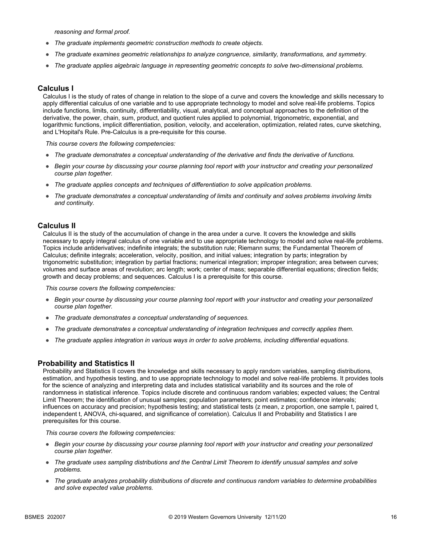*reasoning and formal proof.*

- *The graduate implements geometric construction methods to create objects.*
- *The graduate examines geometric relationships to analyze congruence, similarity, transformations, and symmetry.*
- *The graduate applies algebraic language in representing geometric concepts to solve two-dimensional problems.*

#### **Calculus I**

Calculus I is the study of rates of change in relation to the slope of a curve and covers the knowledge and skills necessary to apply differential calculus of one variable and to use appropriate technology to model and solve real-life problems. Topics include functions, limits, continuity, differentiability, visual, analytical, and conceptual approaches to the definition of the derivative, the power, chain, sum, product, and quotient rules applied to polynomial, trigonometric, exponential, and logarithmic functions, implicit differentiation, position, velocity, and acceleration, optimization, related rates, curve sketching, and L'Hopital's Rule. Pre-Calculus is a pre-requisite for this course.

*This course covers the following competencies:*

- *The graduate demonstrates a conceptual understanding of the derivative and finds the derivative of functions.*
- *Begin your course by discussing your course planning tool report with your instructor and creating your personalized course plan together.*
- *The graduate applies concepts and techniques of differentiation to solve application problems.*
- *The graduate demonstrates a conceptual understanding of limits and continuity and solves problems involving limits and continuity.*

#### **Calculus II**

Calculus II is the study of the accumulation of change in the area under a curve. It covers the knowledge and skills necessary to apply integral calculus of one variable and to use appropriate technology to model and solve real-life problems. Topics include antiderivatives; indefinite integrals; the substitution rule; Riemann sums; the Fundamental Theorem of Calculus; definite integrals; acceleration, velocity, position, and initial values; integration by parts; integration by trigonometric substitution; integration by partial fractions; numerical integration; improper integration; area between curves; volumes and surface areas of revolution; arc length; work; center of mass; separable differential equations; direction fields; growth and decay problems; and sequences. Calculus I is a prerequisite for this course.

*This course covers the following competencies:*

- *Begin your course by discussing your course planning tool report with your instructor and creating your personalized course plan together.*
- *The graduate demonstrates a conceptual understanding of sequences.*
- *The graduate demonstrates a conceptual understanding of integration techniques and correctly applies them.*
- *The graduate applies integration in various ways in order to solve problems, including differential equations.*

#### **Probability and Statistics II**

Probability and Statistics II covers the knowledge and skills necessary to apply random variables, sampling distributions, estimation, and hypothesis testing, and to use appropriate technology to model and solve real-life problems. It provides tools for the science of analyzing and interpreting data and includes statistical variability and its sources and the role of randomness in statistical inference. Topics include discrete and continuous random variables; expected values; the Central Limit Theorem; the identification of unusual samples; population parameters; point estimates; confidence intervals; influences on accuracy and precision; hypothesis testing; and statistical tests (z mean, z proportion, one sample t, paired t, independent t, ANOVA, chi-squared, and significance of correlation). Calculus II and Probability and Statistics I are prerequisites for this course.

- *Begin your course by discussing your course planning tool report with your instructor and creating your personalized course plan together.*
- *The graduate uses sampling distributions and the Central Limit Theorem to identify unusual samples and solve problems.*
- *The graduate analyzes probability distributions of discrete and continuous random variables to determine probabilities and solve expected value problems.*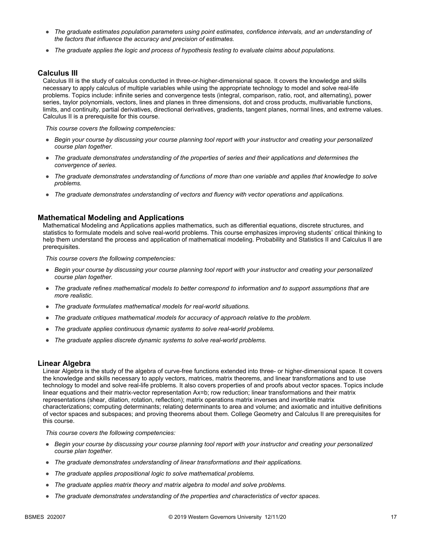- *The graduate estimates population parameters using point estimates, confidence intervals, and an understanding of the factors that influence the accuracy and precision of estimates.*
- *The graduate applies the logic and process of hypothesis testing to evaluate claims about populations.*

#### **Calculus III**

Calculus III is the study of calculus conducted in three-or-higher-dimensional space. It covers the knowledge and skills necessary to apply calculus of multiple variables while using the appropriate technology to model and solve real-life problems. Topics include: infinite series and convergence tests (integral, comparison, ratio, root, and alternating), power series, taylor polynomials, vectors, lines and planes in three dimensions, dot and cross products, multivariable functions, limits, and continuity, partial derivatives, directional derivatives, gradients, tangent planes, normal lines, and extreme values. Calculus II is a prerequisite for this course.

*This course covers the following competencies:*

- *Begin your course by discussing your course planning tool report with your instructor and creating your personalized course plan together.*
- *The graduate demonstrates understanding of the properties of series and their applications and determines the convergence of series.*
- *The graduate demonstrates understanding of functions of more than one variable and applies that knowledge to solve problems.*
- *The graduate demonstrates understanding of vectors and fluency with vector operations and applications.*

#### **Mathematical Modeling and Applications**

Mathematical Modeling and Applications applies mathematics, such as differential equations, discrete structures, and statistics to formulate models and solve real-world problems. This course emphasizes improving students' critical thinking to help them understand the process and application of mathematical modeling. Probability and Statistics II and Calculus II are prerequisites.

*This course covers the following competencies:*

- *Begin your course by discussing your course planning tool report with your instructor and creating your personalized course plan together.*
- *The graduate refines mathematical models to better correspond to information and to support assumptions that are more realistic.*
- *The graduate formulates mathematical models for real-world situations.*
- *The graduate critiques mathematical models for accuracy of approach relative to the problem.*
- *The graduate applies continuous dynamic systems to solve real-world problems.*
- *The graduate applies discrete dynamic systems to solve real-world problems.*

#### **Linear Algebra**

Linear Algebra is the study of the algebra of curve-free functions extended into three- or higher-dimensional space. It covers the knowledge and skills necessary to apply vectors, matrices, matrix theorems, and linear transformations and to use technology to model and solve real-life problems. It also covers properties of and proofs about vector spaces. Topics include linear equations and their matrix-vector representation Ax=b; row reduction; linear transformations and their matrix representations (shear, dilation, rotation, reflection); matrix operations matrix inverses and invertible matrix characterizations; computing determinants; relating determinants to area and volume; and axiomatic and intuitive definitions of vector spaces and subspaces; and proving theorems about them. College Geometry and Calculus II are prerequisites for this course.

- *Begin your course by discussing your course planning tool report with your instructor and creating your personalized course plan together.*
- *The graduate demonstrates understanding of linear transformations and their applications.*
- *The graduate applies propositional logic to solve mathematical problems.*
- *The graduate applies matrix theory and matrix algebra to model and solve problems.*
- *The graduate demonstrates understanding of the properties and characteristics of vector spaces.*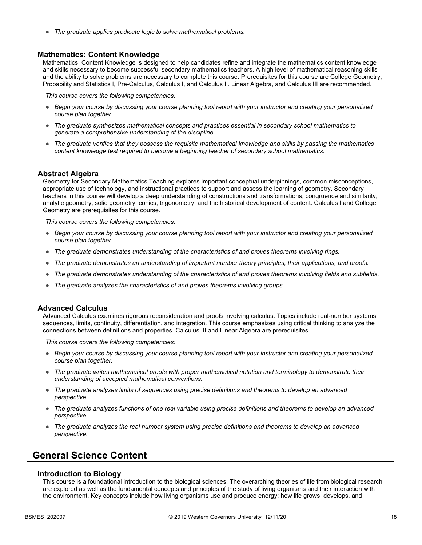● *The graduate applies predicate logic to solve mathematical problems.*

#### **Mathematics: Content Knowledge**

Mathematics: Content Knowledge is designed to help candidates refine and integrate the mathematics content knowledge and skills necessary to become successful secondary mathematics teachers. A high level of mathematical reasoning skills and the ability to solve problems are necessary to complete this course. Prerequisites for this course are College Geometry, Probability and Statistics I, Pre-Calculus, Calculus I, and Calculus II. Linear Algebra, and Calculus III are recommended.

*This course covers the following competencies:*

- *Begin your course by discussing your course planning tool report with your instructor and creating your personalized course plan together.*
- *The graduate synthesizes mathematical concepts and practices essential in secondary school mathematics to generate a comprehensive understanding of the discipline.*
- *The graduate verifies that they possess the requisite mathematical knowledge and skills by passing the mathematics content knowledge test required to become a beginning teacher of secondary school mathematics.*

#### **Abstract Algebra**

Geometry for Secondary Mathematics Teaching explores important conceptual underpinnings, common misconceptions, appropriate use of technology, and instructional practices to support and assess the learning of geometry. Secondary teachers in this course will develop a deep understanding of constructions and transformations, congruence and similarity, analytic geometry, solid geometry, conics, trigonometry, and the historical development of content. Calculus I and College Geometry are prerequisites for this course.

*This course covers the following competencies:*

- *Begin your course by discussing your course planning tool report with your instructor and creating your personalized course plan together.*
- *The graduate demonstrates understanding of the characteristics of and proves theorems involving rings.*
- *The graduate demonstrates an understanding of important number theory principles, their applications, and proofs.*
- *The graduate demonstrates understanding of the characteristics of and proves theorems involving fields and subfields.*
- *The graduate analyzes the characteristics of and proves theorems involving groups.*

#### **Advanced Calculus**

Advanced Calculus examines rigorous reconsideration and proofs involving calculus. Topics include real-number systems, sequences, limits, continuity, differentiation, and integration. This course emphasizes using critical thinking to analyze the connections between definitions and properties. Calculus III and Linear Algebra are prerequisites.

*This course covers the following competencies:*

- *Begin your course by discussing your course planning tool report with your instructor and creating your personalized course plan together.*
- *The graduate writes mathematical proofs with proper mathematical notation and terminology to demonstrate their understanding of accepted mathematical conventions.*
- *The graduate analyzes limits of sequences using precise definitions and theorems to develop an advanced perspective.*
- *The graduate analyzes functions of one real variable using precise definitions and theorems to develop an advanced perspective.*
- *The graduate analyzes the real number system using precise definitions and theorems to develop an advanced perspective.*

## **General Science Content**

#### **Introduction to Biology**

This course is a foundational introduction to the biological sciences. The overarching theories of life from biological research are explored as well as the fundamental concepts and principles of the study of living organisms and their interaction with the environment. Key concepts include how living organisms use and produce energy; how life grows, develops, and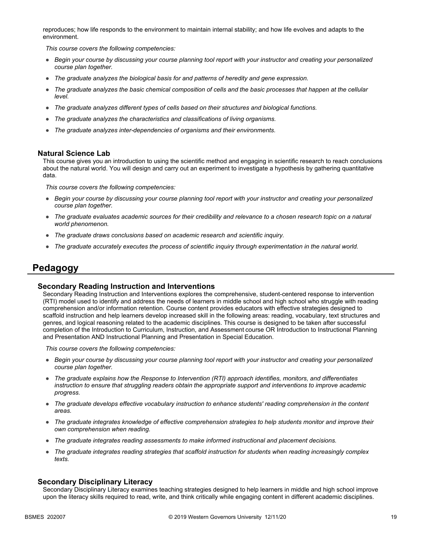reproduces; how life responds to the environment to maintain internal stability; and how life evolves and adapts to the environment.

*This course covers the following competencies:*

- *Begin your course by discussing your course planning tool report with your instructor and creating your personalized course plan together.*
- *The graduate analyzes the biological basis for and patterns of heredity and gene expression.*
- *The graduate analyzes the basic chemical composition of cells and the basic processes that happen at the cellular level.*
- *The graduate analyzes different types of cells based on their structures and biological functions.*
- *The graduate analyzes the characteristics and classifications of living organisms.*
- *The graduate analyzes inter-dependencies of organisms and their environments.*

#### **Natural Science Lab**

This course gives you an introduction to using the scientific method and engaging in scientific research to reach conclusions about the natural world. You will design and carry out an experiment to investigate a hypothesis by gathering quantitative data.

*This course covers the following competencies:*

- *Begin your course by discussing your course planning tool report with your instructor and creating your personalized course plan together.*
- *The graduate evaluates academic sources for their credibility and relevance to a chosen research topic on a natural world phenomenon.*
- *The graduate draws conclusions based on academic research and scientific inquiry.*
- *The graduate accurately executes the process of scientific inquiry through experimentation in the natural world.*

## **Pedagogy**

#### **Secondary Reading Instruction and Interventions**

Secondary Reading Instruction and Interventions explores the comprehensive, student-centered response to intervention (RTI) model used to identify and address the needs of learners in middle school and high school who struggle with reading comprehension and/or information retention. Course content provides educators with effective strategies designed to scaffold instruction and help learners develop increased skill in the following areas: reading, vocabulary, text structures and genres, and logical reasoning related to the academic disciplines. This course is designed to be taken after successful completion of the Introduction to Curriculum, Instruction, and Assessment course OR Introduction to Instructional Planning and Presentation AND Instructional Planning and Presentation in Special Education.

*This course covers the following competencies:*

- *Begin your course by discussing your course planning tool report with your instructor and creating your personalized course plan together.*
- *The graduate explains how the Response to Intervention (RTI) approach identifies, monitors, and differentiates instruction to ensure that struggling readers obtain the appropriate support and interventions to improve academic progress.*
- *The graduate develops effective vocabulary instruction to enhance students' reading comprehension in the content areas.*
- *The graduate integrates knowledge of effective comprehension strategies to help students monitor and improve their own comprehension when reading.*
- *The graduate integrates reading assessments to make informed instructional and placement decisions.*
- *The graduate integrates reading strategies that scaffold instruction for students when reading increasingly complex texts.*

#### **Secondary Disciplinary Literacy**

Secondary Disciplinary Literacy examines teaching strategies designed to help learners in middle and high school improve upon the literacy skills required to read, write, and think critically while engaging content in different academic disciplines.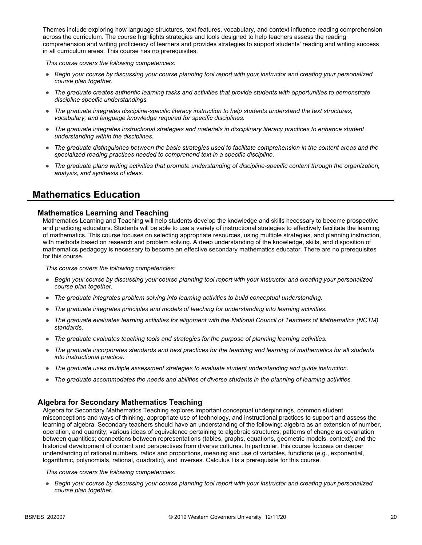Themes include exploring how language structures, text features, vocabulary, and context influence reading comprehension across the curriculum. The course highlights strategies and tools designed to help teachers assess the reading comprehension and writing proficiency of learners and provides strategies to support students' reading and writing success in all curriculum areas. This course has no prerequisites.

*This course covers the following competencies:*

- *Begin your course by discussing your course planning tool report with your instructor and creating your personalized course plan together.*
- *The graduate creates authentic learning tasks and activities that provide students with opportunities to demonstrate discipline specific understandings.*
- *The graduate integrates discipline-specific literacy instruction to help students understand the text structures, vocabulary, and language knowledge required for specific disciplines.*
- *The graduate integrates instructional strategies and materials in disciplinary literacy practices to enhance student understanding within the disciplines.*
- *The graduate distinguishes between the basic strategies used to facilitate comprehension in the content areas and the specialized reading practices needed to comprehend text in a specific discipline.*
- *The graduate plans writing activities that promote understanding of discipline-specific content through the organization, analysis, and synthesis of ideas.*

## **Mathematics Education**

#### **Mathematics Learning and Teaching**

Mathematics Learning and Teaching will help students develop the knowledge and skills necessary to become prospective and practicing educators. Students will be able to use a variety of instructional strategies to effectively facilitate the learning of mathematics. This course focuses on selecting appropriate resources, using multiple strategies, and planning instruction, with methods based on research and problem solving. A deep understanding of the knowledge, skills, and disposition of mathematics pedagogy is necessary to become an effective secondary mathematics educator. There are no prerequisites for this course.

*This course covers the following competencies:*

- *Begin your course by discussing your course planning tool report with your instructor and creating your personalized course plan together.*
- *The graduate integrates problem solving into learning activities to build conceptual understanding.*
- *The graduate integrates principles and models of teaching for understanding into learning activities.*
- *The graduate evaluates learning activities for alignment with the National Council of Teachers of Mathematics (NCTM) standards.*
- *The graduate evaluates teaching tools and strategies for the purpose of planning learning activities.*
- *The graduate incorporates standards and best practices for the teaching and learning of mathematics for all students into instructional practice.*
- *The graduate uses multiple assessment strategies to evaluate student understanding and guide instruction.*
- *The graduate accommodates the needs and abilities of diverse students in the planning of learning activities.*

#### **Algebra for Secondary Mathematics Teaching**

Algebra for Secondary Mathematics Teaching explores important conceptual underpinnings, common student misconceptions and ways of thinking, appropriate use of technology, and instructional practices to support and assess the learning of algebra. Secondary teachers should have an understanding of the following: algebra as an extension of number, operation, and quantity; various ideas of equivalence pertaining to algebraic structures; patterns of change as covariation between quantities; connections between representations (tables, graphs, equations, geometric models, context); and the historical development of content and perspectives from diverse cultures. In particular, this course focuses on deeper understanding of rational numbers, ratios and proportions, meaning and use of variables, functions (e.g., exponential, logarithmic, polynomials, rational, quadratic), and inverses. Calculus I is a prerequisite for this course.

*This course covers the following competencies:*

● *Begin your course by discussing your course planning tool report with your instructor and creating your personalized course plan together.*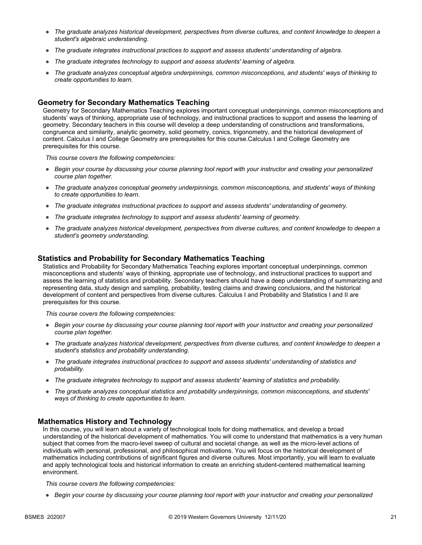- *The graduate analyzes historical development, perspectives from diverse cultures, and content knowledge to deepen a student's algebraic understanding.*
- *The graduate integrates instructional practices to support and assess students' understanding of algebra.*
- *The graduate integrates technology to support and assess students' learning of algebra.*
- *The graduate analyzes conceptual algebra underpinnings, common misconceptions, and students' ways of thinking to create opportunities to learn.*

#### **Geometry for Secondary Mathematics Teaching**

Geometry for Secondary Mathematics Teaching explores important conceptual underpinnings, common misconceptions and students' ways of thinking, appropriate use of technology, and instructional practices to support and assess the learning of geometry. Secondary teachers in this course will develop a deep understanding of constructions and transformations, congruence and similarity, analytic geometry, solid geometry, conics, trigonometry, and the historical development of content. Calculus I and College Geometry are prerequisites for this course.Calculus I and College Geometry are prerequisites for this course.

*This course covers the following competencies:*

- *Begin your course by discussing your course planning tool report with your instructor and creating your personalized course plan together.*
- *The graduate analyzes conceptual geometry underpinnings, common misconceptions, and students' ways of thinking to create opportunities to learn.*
- *The graduate integrates instructional practices to support and assess students' understanding of geometry.*
- *The graduate integrates technology to support and assess students' learning of geometry.*
- *The graduate analyzes historical development, perspectives from diverse cultures, and content knowledge to deepen a student's geometry understanding.*

#### **Statistics and Probability for Secondary Mathematics Teaching**

Statistics and Probability for Secondary Mathematics Teaching explores important conceptual underpinnings, common misconceptions and students' ways of thinking, appropriate use of technology, and instructional practices to support and assess the learning of statistics and probability. Secondary teachers should have a deep understanding of summarizing and representing data, study design and sampling, probability, testing claims and drawing conclusions, and the historical development of content and perspectives from diverse cultures. Calculus I and Probability and Statistics I and II are prerequisites for this course.

*This course covers the following competencies:*

- *Begin your course by discussing your course planning tool report with your instructor and creating your personalized course plan together.*
- *The graduate analyzes historical development, perspectives from diverse cultures, and content knowledge to deepen a student's statistics and probability understanding.*
- *The graduate integrates instructional practices to support and assess students' understanding of statistics and probability.*
- *The graduate integrates technology to support and assess students' learning of statistics and probability.*
- *The graduate analyzes conceptual statistics and probability underpinnings, common misconceptions, and students' ways of thinking to create opportunities to learn.*

#### **Mathematics History and Technology**

In this course, you will learn about a variety of technological tools for doing mathematics, and develop a broad understanding of the historical development of mathematics. You will come to understand that mathematics is a very human subject that comes from the macro-level sweep of cultural and societal change, as well as the micro-level actions of individuals with personal, professional, and philosophical motivations. You will focus on the historical development of mathematics including contributions of significant figures and diverse cultures. Most importantly, you will learn to evaluate and apply technological tools and historical information to create an enriching student-centered mathematical learning environment.

*This course covers the following competencies:*

● *Begin your course by discussing your course planning tool report with your instructor and creating your personalized*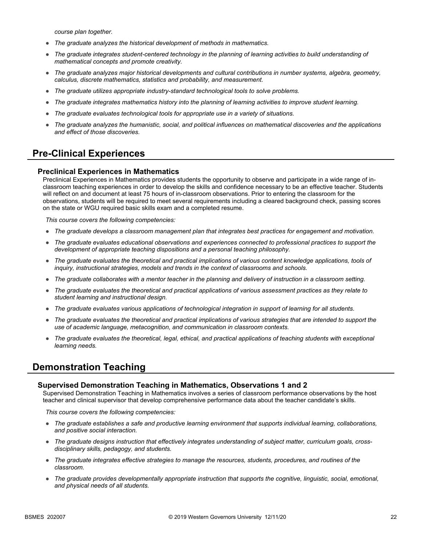*course plan together.*

- *The graduate analyzes the historical development of methods in mathematics.*
- *The graduate integrates student-centered technology in the planning of learning activities to build understanding of mathematical concepts and promote creativity.*
- *The graduate analyzes major historical developments and cultural contributions in number systems, algebra, geometry, calculus, discrete mathematics, statistics and probability, and measurement.*
- *The graduate utilizes appropriate industry-standard technological tools to solve problems.*
- *The graduate integrates mathematics history into the planning of learning activities to improve student learning.*
- *The graduate evaluates technological tools for appropriate use in a variety of situations.*
- *The graduate analyzes the humanistic, social, and political influences on mathematical discoveries and the applications and effect of those discoveries.*

## **Pre-Clinical Experiences**

#### **Preclinical Experiences in Mathematics**

Preclinical Experiences in Mathematics provides students the opportunity to observe and participate in a wide range of inclassroom teaching experiences in order to develop the skills and confidence necessary to be an effective teacher. Students will reflect on and document at least 75 hours of in-classroom observations. Prior to entering the classroom for the observations, students will be required to meet several requirements including a cleared background check, passing scores on the state or WGU required basic skills exam and a completed resume.

*This course covers the following competencies:*

- *The graduate develops a classroom management plan that integrates best practices for engagement and motivation.*
- *The graduate evaluates educational observations and experiences connected to professional practices to support the development of appropriate teaching dispositions and a personal teaching philosophy.*
- The graduate evaluates the theoretical and practical implications of various content knowledge applications, tools of *inquiry, instructional strategies, models and trends in the context of classrooms and schools.*
- *The graduate collaborates with a mentor teacher in the planning and delivery of instruction in a classroom setting.*
- *The graduate evaluates the theoretical and practical applications of various assessment practices as they relate to student learning and instructional design.*
- *The graduate evaluates various applications of technological integration in support of learning for all students.*
- *The graduate evaluates the theoretical and practical implications of various strategies that are intended to support the use of academic language, metacognition, and communication in classroom contexts.*
- *The graduate evaluates the theoretical, legal, ethical, and practical applications of teaching students with exceptional learning needs.*

### **Demonstration Teaching**

#### **Supervised Demonstration Teaching in Mathematics, Observations 1 and 2**

Supervised Demonstration Teaching in Mathematics involves a series of classroom performance observations by the host teacher and clinical supervisor that develop comprehensive performance data about the teacher candidate's skills.

- *The graduate establishes a safe and productive learning environment that supports individual learning, collaborations, and positive social interaction.*
- *The graduate designs instruction that effectively integrates understanding of subject matter, curriculum goals, crossdisciplinary skills, pedagogy, and students.*
- *The graduate integrates effective strategies to manage the resources, students, procedures, and routines of the classroom.*
- *The graduate provides developmentally appropriate instruction that supports the cognitive, linguistic, social, emotional, and physical needs of all students.*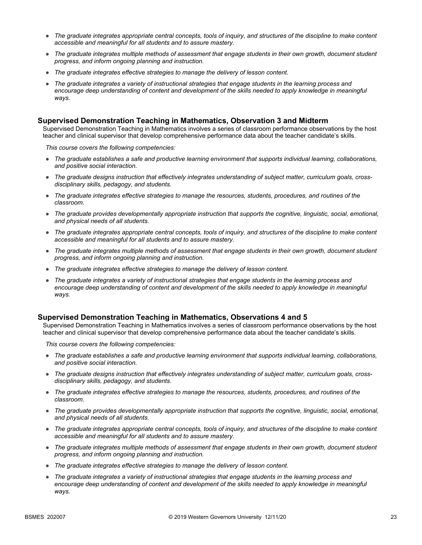- *The graduate integrates appropriate central concepts, tools of inquiry, and structures of the discipline to make content accessible and meaningful for all students and to assure mastery.*
- *The graduate integrates multiple methods of assessment that engage students in their own growth, document student progress, and inform ongoing planning and instruction.*
- *The graduate integrates effective strategies to manage the delivery of lesson content.*
- *The graduate integrates a variety of instructional strategies that engage students in the learning process and*  encourage deep understanding of content and development of the skills needed to apply knowledge in meaningful *ways.*

#### **Supervised Demonstration Teaching in Mathematics, Observation 3 and Midterm**

Supervised Demonstration Teaching in Mathematics involves a series of classroom performance observations by the host teacher and clinical supervisor that develop comprehensive performance data about the teacher candidate's skills.

*This course covers the following competencies:*

- *The graduate establishes a safe and productive learning environment that supports individual learning, collaborations, and positive social interaction.*
- *The graduate designs instruction that effectively integrates understanding of subject matter, curriculum goals, crossdisciplinary skills, pedagogy, and students.*
- *The graduate integrates effective strategies to manage the resources, students, procedures, and routines of the classroom.*
- *The graduate provides developmentally appropriate instruction that supports the cognitive, linguistic, social, emotional, and physical needs of all students.*
- *The graduate integrates appropriate central concepts, tools of inquiry, and structures of the discipline to make content accessible and meaningful for all students and to assure mastery.*
- *The graduate integrates multiple methods of assessment that engage students in their own growth, document student progress, and inform ongoing planning and instruction.*
- *The graduate integrates effective strategies to manage the delivery of lesson content.*
- *The graduate integrates a variety of instructional strategies that engage students in the learning process and*  encourage deep understanding of content and development of the skills needed to apply knowledge in meaningful *ways.*

#### **Supervised Demonstration Teaching in Mathematics, Observations 4 and 5**

Supervised Demonstration Teaching in Mathematics involves a series of classroom performance observations by the host teacher and clinical supervisor that develop comprehensive performance data about the teacher candidate's skills.

- *The graduate establishes a safe and productive learning environment that supports individual learning, collaborations, and positive social interaction.*
- *The graduate designs instruction that effectively integrates understanding of subject matter, curriculum goals, crossdisciplinary skills, pedagogy, and students.*
- *The graduate integrates effective strategies to manage the resources, students, procedures, and routines of the classroom.*
- *The graduate provides developmentally appropriate instruction that supports the cognitive, linguistic, social, emotional, and physical needs of all students.*
- *The graduate integrates appropriate central concepts, tools of inquiry, and structures of the discipline to make content accessible and meaningful for all students and to assure mastery.*
- *The graduate integrates multiple methods of assessment that engage students in their own growth, document student progress, and inform ongoing planning and instruction.*
- *The graduate integrates effective strategies to manage the delivery of lesson content.*
- *The graduate integrates a variety of instructional strategies that engage students in the learning process and*  encourage deep understanding of content and development of the skills needed to apply knowledge in meaningful *ways.*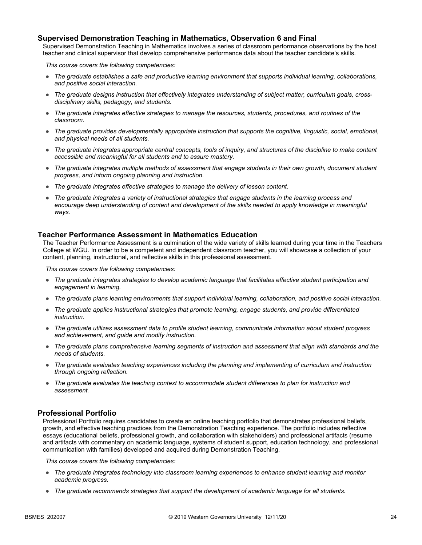#### **Supervised Demonstration Teaching in Mathematics, Observation 6 and Final**

Supervised Demonstration Teaching in Mathematics involves a series of classroom performance observations by the host teacher and clinical supervisor that develop comprehensive performance data about the teacher candidate's skills.

*This course covers the following competencies:*

- *The graduate establishes a safe and productive learning environment that supports individual learning, collaborations, and positive social interaction.*
- *The graduate designs instruction that effectively integrates understanding of subject matter, curriculum goals, crossdisciplinary skills, pedagogy, and students.*
- *The graduate integrates effective strategies to manage the resources, students, procedures, and routines of the classroom.*
- *The graduate provides developmentally appropriate instruction that supports the cognitive, linguistic, social, emotional, and physical needs of all students.*
- *The graduate integrates appropriate central concepts, tools of inquiry, and structures of the discipline to make content accessible and meaningful for all students and to assure mastery.*
- *The graduate integrates multiple methods of assessment that engage students in their own growth, document student progress, and inform ongoing planning and instruction.*
- *The graduate integrates effective strategies to manage the delivery of lesson content.*
- *The graduate integrates a variety of instructional strategies that engage students in the learning process and*  encourage deep understanding of content and development of the skills needed to apply knowledge in meaningful *ways.*

#### **Teacher Performance Assessment in Mathematics Education**

The Teacher Performance Assessment is a culmination of the wide variety of skills learned during your time in the Teachers College at WGU. In order to be a competent and independent classroom teacher, you will showcase a collection of your content, planning, instructional, and reflective skills in this professional assessment.

*This course covers the following competencies:*

- *The graduate integrates strategies to develop academic language that facilitates effective student participation and engagement in learning.*
- *The graduate plans learning environments that support individual learning, collaboration, and positive social interaction.*
- *The graduate applies instructional strategies that promote learning, engage students, and provide differentiated instruction.*
- *The graduate utilizes assessment data to profile student learning, communicate information about student progress and achievement, and guide and modify instruction.*
- *The graduate plans comprehensive learning segments of instruction and assessment that align with standards and the needs of students.*
- *The graduate evaluates teaching experiences including the planning and implementing of curriculum and instruction through ongoing reflection.*
- *The graduate evaluates the teaching context to accommodate student differences to plan for instruction and assessment.*

#### **Professional Portfolio**

Professional Portfolio requires candidates to create an online teaching portfolio that demonstrates professional beliefs, growth, and effective teaching practices from the Demonstration Teaching experience. The portfolio includes reflective essays (educational beliefs, professional growth, and collaboration with stakeholders) and professional artifacts (resume and artifacts with commentary on academic language, systems of student support, education technology, and professional communication with families) developed and acquired during Demonstration Teaching.

- *The graduate integrates technology into classroom learning experiences to enhance student learning and monitor academic progress.*
- *The graduate recommends strategies that support the development of academic language for all students.*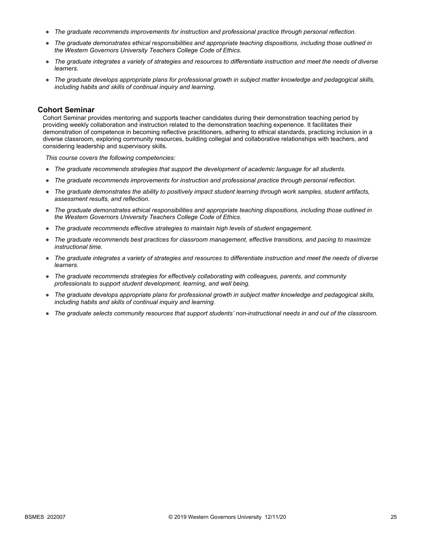- *The graduate recommends improvements for instruction and professional practice through personal reflection.*
- *The graduate demonstrates ethical responsibilities and appropriate teaching dispositions, including those outlined in the Western Governors University Teachers College Code of Ethics.*
- *The graduate integrates a variety of strategies and resources to differentiate instruction and meet the needs of diverse learners.*
- *The graduate develops appropriate plans for professional growth in subject matter knowledge and pedagogical skills, including habits and skills of continual inquiry and learning.*

#### **Cohort Seminar**

Cohort Seminar provides mentoring and supports teacher candidates during their demonstration teaching period by providing weekly collaboration and instruction related to the demonstration teaching experience. It facilitates their demonstration of competence in becoming reflective practitioners, adhering to ethical standards, practicing inclusion in a diverse classroom, exploring community resources, building collegial and collaborative relationships with teachers, and considering leadership and supervisory skills.

- *The graduate recommends strategies that support the development of academic language for all students.*
- *The graduate recommends improvements for instruction and professional practice through personal reflection.*
- *The graduate demonstrates the ability to positively impact student learning through work samples, student artifacts, assessment results, and reflection.*
- *The graduate demonstrates ethical responsibilities and appropriate teaching dispositions, including those outlined in the Western Governors University Teachers College Code of Ethics.*
- *The graduate recommends effective strategies to maintain high levels of student engagement.*
- *The graduate recommends best practices for classroom management, effective transitions, and pacing to maximize instructional time.*
- *The graduate integrates a variety of strategies and resources to differentiate instruction and meet the needs of diverse learners.*
- *The graduate recommends strategies for effectively collaborating with colleagues, parents, and community professionals to support student development, learning, and well being.*
- *The graduate develops appropriate plans for professional growth in subject matter knowledge and pedagogical skills, including habits and skills of continual inquiry and learning.*
- *The graduate selects community resources that support students' non-instructional needs in and out of the classroom.*